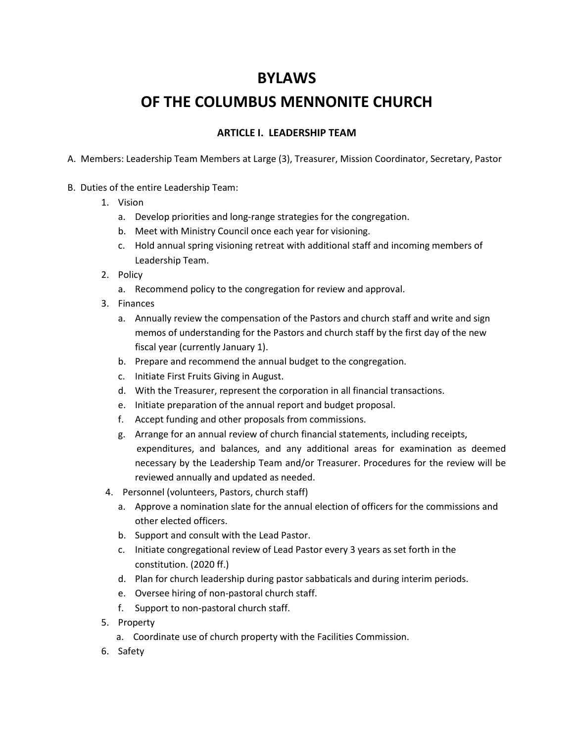## **BYLAWS**

# **OF THE COLUMBUS MENNONITE CHURCH**

## **ARTICLE I. LEADERSHIP TEAM**

A. Members: Leadership Team Members at Large (3), Treasurer, Mission Coordinator, Secretary, Pastor

- B. Duties of the entire Leadership Team:
	- 1. Vision
		- a. Develop priorities and long-range strategies for the congregation.
		- b. Meet with Ministry Council once each year for visioning.
		- c. Hold annual spring visioning retreat with additional staff and incoming members of Leadership Team.
	- 2. Policy
		- a. Recommend policy to the congregation for review and approval.
	- 3. Finances
		- a. Annually review the compensation of the Pastors and church staff and write and sign memos of understanding for the Pastors and church staff by the first day of the new fiscal year (currently January 1).
		- b. Prepare and recommend the annual budget to the congregation.
		- c. Initiate First Fruits Giving in August.
		- d. With the Treasurer, represent the corporation in all financial transactions.
		- e. Initiate preparation of the annual report and budget proposal.
		- f. Accept funding and other proposals from commissions.
		- g. Arrange for an annual review of church financial statements, including receipts, expenditures, and balances, and any additional areas for examination as deemed necessary by the Leadership Team and/or Treasurer. Procedures for the review will be reviewed annually and updated as needed.
	- 4. Personnel (volunteers, Pastors, church staff)
		- a. Approve a nomination slate for the annual election of officers for the commissions and other elected officers.
		- b. Support and consult with the Lead Pastor.
		- c. Initiate congregational review of Lead Pastor every 3 years as set forth in the constitution. (2020 ff.)
		- d. Plan for church leadership during pastor sabbaticals and during interim periods.
		- e. Oversee hiring of non-pastoral church staff.
		- f. Support to non-pastoral church staff.
	- 5. Property
		- a. Coordinate use of church property with the Facilities Commission.
	- 6. Safety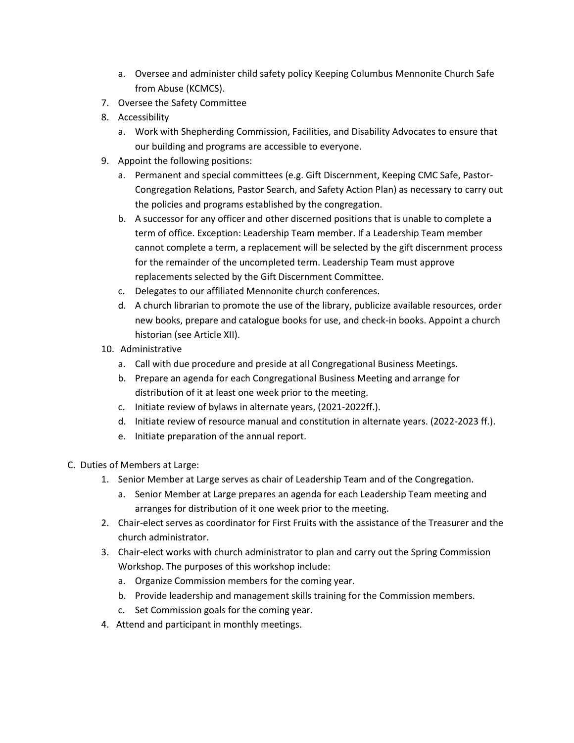- a. Oversee and administer child safety policy Keeping Columbus Mennonite Church Safe from Abuse (KCMCS).
- 7. Oversee the Safety Committee
- 8. Accessibility
	- a. Work with Shepherding Commission, Facilities, and Disability Advocates to ensure that our building and programs are accessible to everyone.
- 9. Appoint the following positions:
	- a. Permanent and special committees (e.g. Gift Discernment, Keeping CMC Safe, Pastor-Congregation Relations, Pastor Search, and Safety Action Plan) as necessary to carry out the policies and programs established by the congregation.
	- b. A successor for any officer and other discerned positions that is unable to complete a term of office. Exception: Leadership Team member. If a Leadership Team member cannot complete a term, a replacement will be selected by the gift discernment process for the remainder of the uncompleted term. Leadership Team must approve replacements selected by the Gift Discernment Committee.
	- c. Delegates to our affiliated Mennonite church conferences.
	- d. A church librarian to promote the use of the library, publicize available resources, order new books, prepare and catalogue books for use, and check-in books. Appoint a church historian (see Article XII).
- 10. Administrative
	- a. Call with due procedure and preside at all Congregational Business Meetings.
	- b. Prepare an agenda for each Congregational Business Meeting and arrange for distribution of it at least one week prior to the meeting.
	- c. Initiate review of bylaws in alternate years, (2021-2022ff.).
	- d. Initiate review of resource manual and constitution in alternate years. (2022-2023 ff.).
	- e. Initiate preparation of the annual report.
- C. Duties of Members at Large:
	- 1. Senior Member at Large serves as chair of Leadership Team and of the Congregation.
		- a. Senior Member at Large prepares an agenda for each Leadership Team meeting and arranges for distribution of it one week prior to the meeting.
	- 2. Chair-elect serves as coordinator for First Fruits with the assistance of the Treasurer and the church administrator.
	- 3. Chair-elect works with church administrator to plan and carry out the Spring Commission Workshop. The purposes of this workshop include:
		- a. Organize Commission members for the coming year.
		- b. Provide leadership and management skills training for the Commission members.
		- c. Set Commission goals for the coming year.
	- 4. Attend and participant in monthly meetings.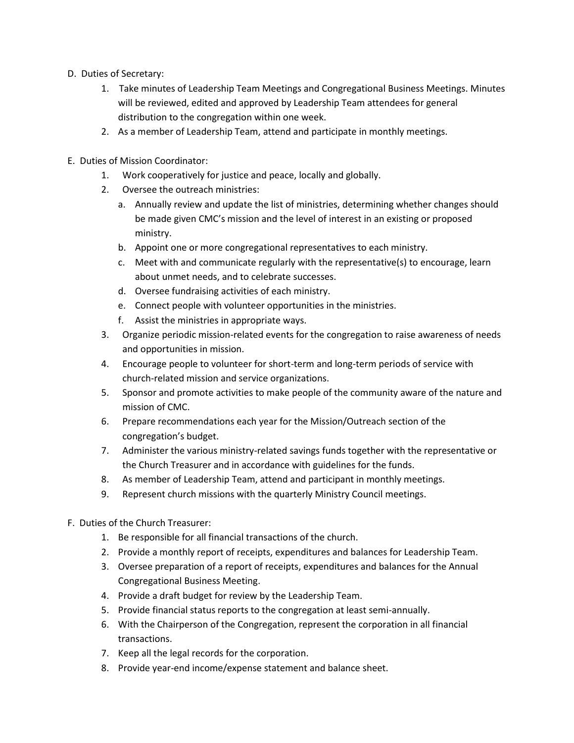- D. Duties of Secretary:
	- 1. Take minutes of Leadership Team Meetings and Congregational Business Meetings. Minutes will be reviewed, edited and approved by Leadership Team attendees for general distribution to the congregation within one week.
	- 2. As a member of Leadership Team, attend and participate in monthly meetings.
- E. Duties of Mission Coordinator:
	- 1. Work cooperatively for justice and peace, locally and globally.
	- 2. Oversee the outreach ministries:
		- a. Annually review and update the list of ministries, determining whether changes should be made given CMC's mission and the level of interest in an existing or proposed ministry.
		- b. Appoint one or more congregational representatives to each ministry.
		- c. Meet with and communicate regularly with the representative(s) to encourage, learn about unmet needs, and to celebrate successes.
		- d. Oversee fundraising activities of each ministry.
		- e. Connect people with volunteer opportunities in the ministries.
		- f. Assist the ministries in appropriate ways.
	- 3. Organize periodic mission-related events for the congregation to raise awareness of needs and opportunities in mission.
	- 4. Encourage people to volunteer for short-term and long-term periods of service with church-related mission and service organizations.
	- 5. Sponsor and promote activities to make people of the community aware of the nature and mission of CMC.
	- 6. Prepare recommendations each year for the Mission/Outreach section of the congregation's budget.
	- 7. Administer the various ministry-related savings funds together with the representative or the Church Treasurer and in accordance with guidelines for the funds.
	- 8. As member of Leadership Team, attend and participant in monthly meetings.
	- 9. Represent church missions with the quarterly Ministry Council meetings.
- F. Duties of the Church Treasurer:
	- 1. Be responsible for all financial transactions of the church.
	- 2. Provide a monthly report of receipts, expenditures and balances for Leadership Team.
	- 3. Oversee preparation of a report of receipts, expenditures and balances for the Annual Congregational Business Meeting.
	- 4. Provide a draft budget for review by the Leadership Team.
	- 5. Provide financial status reports to the congregation at least semi-annually.
	- 6. With the Chairperson of the Congregation, represent the corporation in all financial transactions.
	- 7. Keep all the legal records for the corporation.
	- 8. Provide year-end income/expense statement and balance sheet.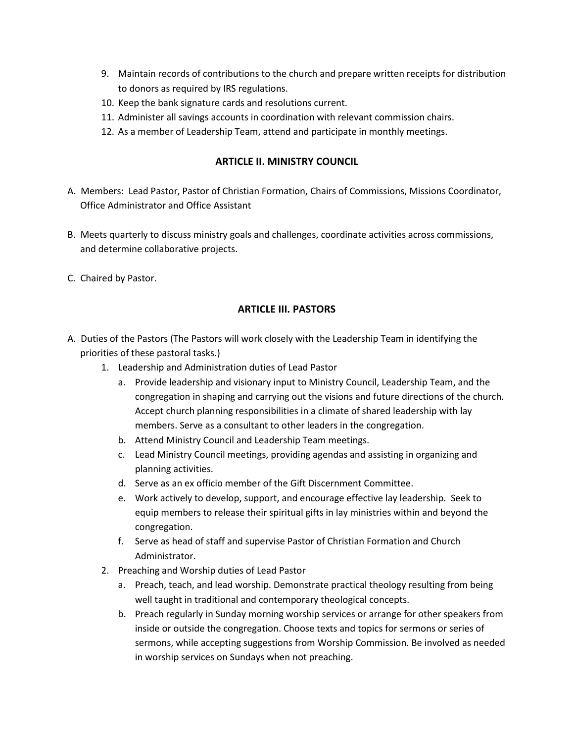- 9. Maintain records of contributions to the church and prepare written receipts for distribution to donors as required by IRS regulations.
- 10. Keep the bank signature cards and resolutions current.
- 11. Administer all savings accounts in coordination with relevant commission chairs.
- 12. As a member of Leadership Team, attend and participate in monthly meetings.

#### **ARTICLE II. MINISTRY COUNCIL**

- A. Members: Lead Pastor, Pastor of Christian Formation, Chairs of Commissions, Missions Coordinator, Office Administrator and Office Assistant
- B. Meets quarterly to discuss ministry goals and challenges, coordinate activities across commissions, and determine collaborative projects.
- C. Chaired by Pastor.

#### **ARTICLE III. PASTORS**

- A. Duties of the Pastors (The Pastors will work closely with the Leadership Team in identifying the priorities of these pastoral tasks.)
	- 1. Leadership and Administration duties of Lead Pastor
		- a. Provide leadership and visionary input to Ministry Council, Leadership Team, and the congregation in shaping and carrying out the visions and future directions of the church. Accept church planning responsibilities in a climate of shared leadership with lay members. Serve as a consultant to other leaders in the congregation.
		- b. Attend Ministry Council and Leadership Team meetings.
		- c. Lead Ministry Council meetings, providing agendas and assisting in organizing and planning activities.
		- d. Serve as an ex officio member of the Gift Discernment Committee.
		- e. Work actively to develop, support, and encourage effective lay leadership. Seek to equip members to release their spiritual gifts in lay ministries within and beyond the congregation.
		- f. Serve as head of staff and supervise Pastor of Christian Formation and Church Administrator.
	- 2. Preaching and Worship duties of Lead Pastor
		- a. Preach, teach, and lead worship. Demonstrate practical theology resulting from being well taught in traditional and contemporary theological concepts.
		- b. Preach regularly in Sunday morning worship services or arrange for other speakers from inside or outside the congregation. Choose texts and topics for sermons or series of sermons, while accepting suggestions from Worship Commission. Be involved as needed in worship services on Sundays when not preaching.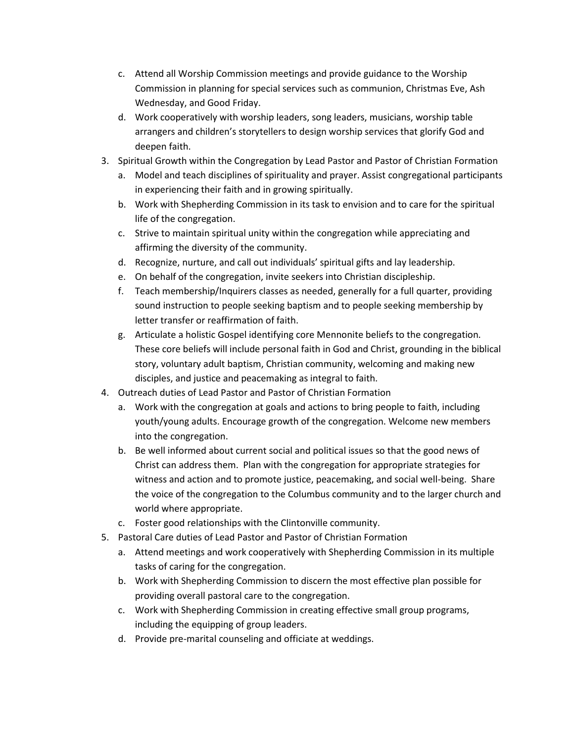- c. Attend all Worship Commission meetings and provide guidance to the Worship Commission in planning for special services such as communion, Christmas Eve, Ash Wednesday, and Good Friday.
- d. Work cooperatively with worship leaders, song leaders, musicians, worship table arrangers and children's storytellers to design worship services that glorify God and deepen faith.
- 3. Spiritual Growth within the Congregation by Lead Pastor and Pastor of Christian Formation
	- a. Model and teach disciplines of spirituality and prayer. Assist congregational participants in experiencing their faith and in growing spiritually.
	- b. Work with Shepherding Commission in its task to envision and to care for the spiritual life of the congregation.
	- c. Strive to maintain spiritual unity within the congregation while appreciating and affirming the diversity of the community.
	- d. Recognize, nurture, and call out individuals' spiritual gifts and lay leadership.
	- e. On behalf of the congregation, invite seekers into Christian discipleship.
	- f. Teach membership/Inquirers classes as needed, generally for a full quarter, providing sound instruction to people seeking baptism and to people seeking membership by letter transfer or reaffirmation of faith.
	- g. Articulate a holistic Gospel identifying core Mennonite beliefs to the congregation. These core beliefs will include personal faith in God and Christ, grounding in the biblical story, voluntary adult baptism, Christian community, welcoming and making new disciples, and justice and peacemaking as integral to faith.
- 4. Outreach duties of Lead Pastor and Pastor of Christian Formation
	- a. Work with the congregation at goals and actions to bring people to faith, including youth/young adults. Encourage growth of the congregation. Welcome new members into the congregation.
	- b. Be well informed about current social and political issues so that the good news of Christ can address them. Plan with the congregation for appropriate strategies for witness and action and to promote justice, peacemaking, and social well-being. Share the voice of the congregation to the Columbus community and to the larger church and world where appropriate.
	- c. Foster good relationships with the Clintonville community.
- 5. Pastoral Care duties of Lead Pastor and Pastor of Christian Formation
	- a. Attend meetings and work cooperatively with Shepherding Commission in its multiple tasks of caring for the congregation.
	- b. Work with Shepherding Commission to discern the most effective plan possible for providing overall pastoral care to the congregation.
	- c. Work with Shepherding Commission in creating effective small group programs, including the equipping of group leaders.
	- d. Provide pre-marital counseling and officiate at weddings.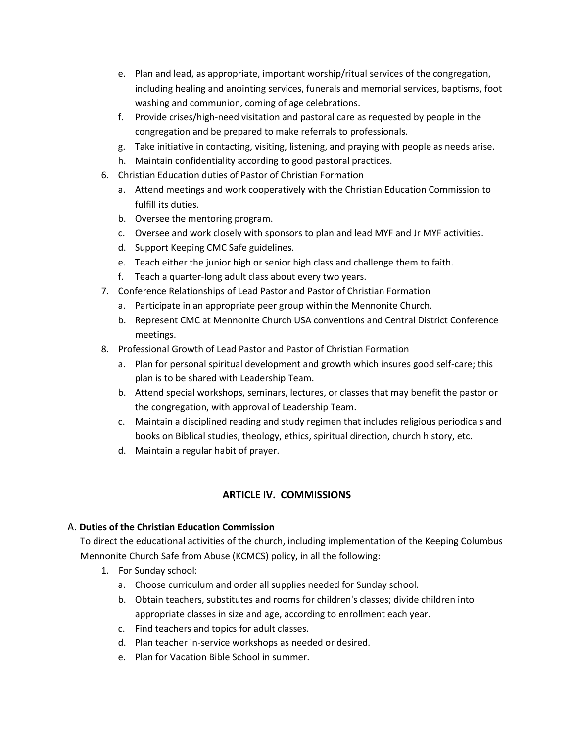- e. Plan and lead, as appropriate, important worship/ritual services of the congregation, including healing and anointing services, funerals and memorial services, baptisms, foot washing and communion, coming of age celebrations.
- f. Provide crises/high-need visitation and pastoral care as requested by people in the congregation and be prepared to make referrals to professionals.
- g. Take initiative in contacting, visiting, listening, and praying with people as needs arise.
- h. Maintain confidentiality according to good pastoral practices.
- 6. Christian Education duties of Pastor of Christian Formation
	- a. Attend meetings and work cooperatively with the Christian Education Commission to fulfill its duties.
	- b. Oversee the mentoring program.
	- c. Oversee and work closely with sponsors to plan and lead MYF and Jr MYF activities.
	- d. Support Keeping CMC Safe guidelines.
	- e. Teach either the junior high or senior high class and challenge them to faith.
	- f. Teach a quarter-long adult class about every two years.
- 7. Conference Relationships of Lead Pastor and Pastor of Christian Formation
	- a. Participate in an appropriate peer group within the Mennonite Church.
	- b. Represent CMC at Mennonite Church USA conventions and Central District Conference meetings.
- 8. Professional Growth of Lead Pastor and Pastor of Christian Formation
	- a. Plan for personal spiritual development and growth which insures good self-care; this plan is to be shared with Leadership Team.
	- b. Attend special workshops, seminars, lectures, or classes that may benefit the pastor or the congregation, with approval of Leadership Team.
	- c. Maintain a disciplined reading and study regimen that includes religious periodicals and books on Biblical studies, theology, ethics, spiritual direction, church history, etc.
	- d. Maintain a regular habit of prayer.

## **ARTICLE IV. COMMISSIONS**

#### A. **Duties of the Christian Education Commission**

To direct the educational activities of the church, including implementation of the Keeping Columbus Mennonite Church Safe from Abuse (KCMCS) policy, in all the following:

- 1. For Sunday school:
	- a. Choose curriculum and order all supplies needed for Sunday school.
	- b. Obtain teachers, substitutes and rooms for children's classes; divide children into appropriate classes in size and age, according to enrollment each year.
	- c. Find teachers and topics for adult classes.
	- d. Plan teacher in-service workshops as needed or desired.
	- e. Plan for Vacation Bible School in summer.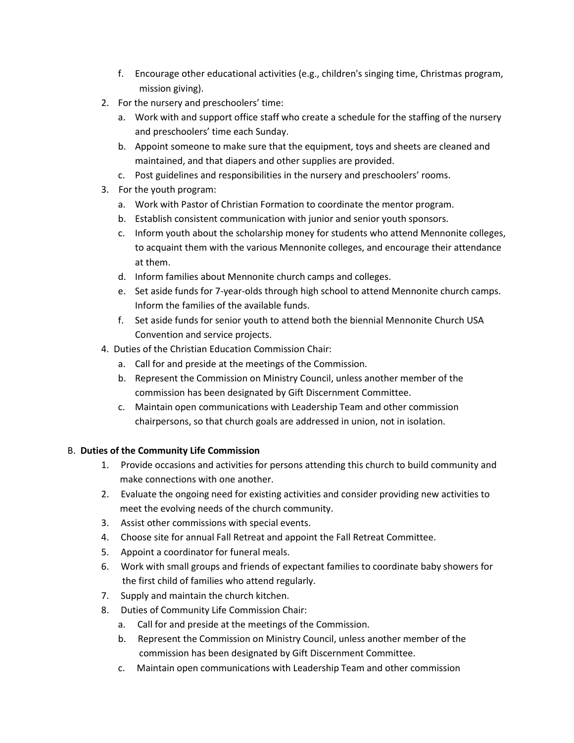- f. Encourage other educational activities (e.g., children's singing time, Christmas program, mission giving).
- 2. For the nursery and preschoolers' time:
	- a. Work with and support office staff who create a schedule for the staffing of the nursery and preschoolers' time each Sunday.
	- b. Appoint someone to make sure that the equipment, toys and sheets are cleaned and maintained, and that diapers and other supplies are provided.
	- c. Post guidelines and responsibilities in the nursery and preschoolers' rooms.
- 3. For the youth program:
	- a. Work with Pastor of Christian Formation to coordinate the mentor program.
	- b. Establish consistent communication with junior and senior youth sponsors.
	- c. Inform youth about the scholarship money for students who attend Mennonite colleges, to acquaint them with the various Mennonite colleges, and encourage their attendance at them.
	- d. Inform families about Mennonite church camps and colleges.
	- e. Set aside funds for 7-year-olds through high school to attend Mennonite church camps. Inform the families of the available funds.
	- f. Set aside funds for senior youth to attend both the biennial Mennonite Church USA Convention and service projects.
- 4. Duties of the Christian Education Commission Chair:
	- a. Call for and preside at the meetings of the Commission.
	- b. Represent the Commission on Ministry Council, unless another member of the commission has been designated by Gift Discernment Committee.
	- c. Maintain open communications with Leadership Team and other commission chairpersons, so that church goals are addressed in union, not in isolation.

#### B. **Duties of the Community Life Commission**

- 1. Provide occasions and activities for persons attending this church to build community and make connections with one another.
- 2. Evaluate the ongoing need for existing activities and consider providing new activities to meet the evolving needs of the church community.
- 3. Assist other commissions with special events.
- 4. Choose site for annual Fall Retreat and appoint the Fall Retreat Committee.
- 5. Appoint a coordinator for funeral meals.
- 6. Work with small groups and friends of expectant families to coordinate baby showers for the first child of families who attend regularly.
- 7. Supply and maintain the church kitchen.
- 8. Duties of Community Life Commission Chair:
	- a. Call for and preside at the meetings of the Commission.
	- b. Represent the Commission on Ministry Council, unless another member of the commission has been designated by Gift Discernment Committee.
	- c. Maintain open communications with Leadership Team and other commission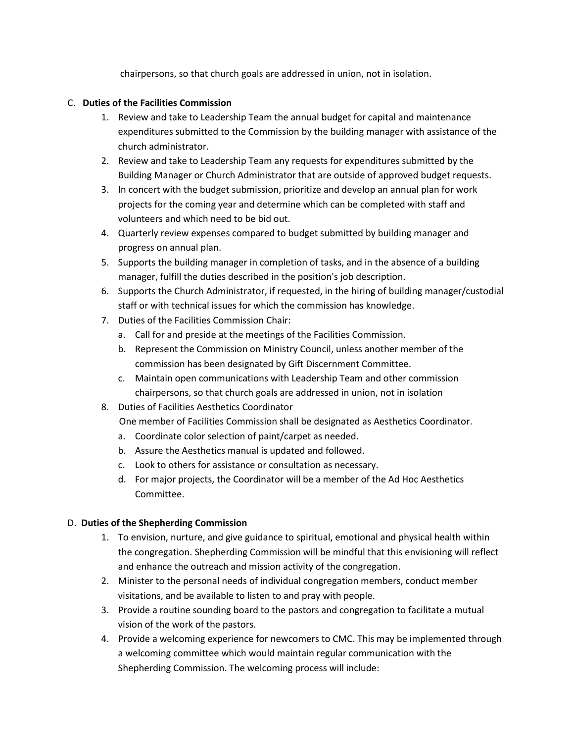chairpersons, so that church goals are addressed in union, not in isolation.

#### C. **Duties of the Facilities Commission**

- 1. Review and take to Leadership Team the annual budget for capital and maintenance expenditures submitted to the Commission by the building manager with assistance of the church administrator.
- 2. Review and take to Leadership Team any requests for expenditures submitted by the Building Manager or Church Administrator that are outside of approved budget requests.
- 3. In concert with the budget submission, prioritize and develop an annual plan for work projects for the coming year and determine which can be completed with staff and volunteers and which need to be bid out.
- 4. Quarterly review expenses compared to budget submitted by building manager and progress on annual plan.
- 5. Supports the building manager in completion of tasks, and in the absence of a building manager, fulfill the duties described in the position's job description.
- 6. Supports the Church Administrator, if requested, in the hiring of building manager/custodial staff or with technical issues for which the commission has knowledge.
- 7. Duties of the Facilities Commission Chair:
	- a. Call for and preside at the meetings of the Facilities Commission.
	- b. Represent the Commission on Ministry Council, unless another member of the commission has been designated by Gift Discernment Committee.
	- c. Maintain open communications with Leadership Team and other commission chairpersons, so that church goals are addressed in union, not in isolation
- 8. Duties of Facilities Aesthetics Coordinator

One member of Facilities Commission shall be designated as Aesthetics Coordinator.

- a. Coordinate color selection of paint/carpet as needed.
- b. Assure the Aesthetics manual is updated and followed.
- c. Look to others for assistance or consultation as necessary.
- d. For major projects, the Coordinator will be a member of the Ad Hoc Aesthetics Committee.

#### D. **Duties of the Shepherding Commission**

- 1. To envision, nurture, and give guidance to spiritual, emotional and physical health within the congregation. Shepherding Commission will be mindful that this envisioning will reflect and enhance the outreach and mission activity of the congregation.
- 2. Minister to the personal needs of individual congregation members, conduct member visitations, and be available to listen to and pray with people.
- 3. Provide a routine sounding board to the pastors and congregation to facilitate a mutual vision of the work of the pastors.
- 4. Provide a welcoming experience for newcomers to CMC. This may be implemented through a welcoming committee which would maintain regular communication with the Shepherding Commission. The welcoming process will include: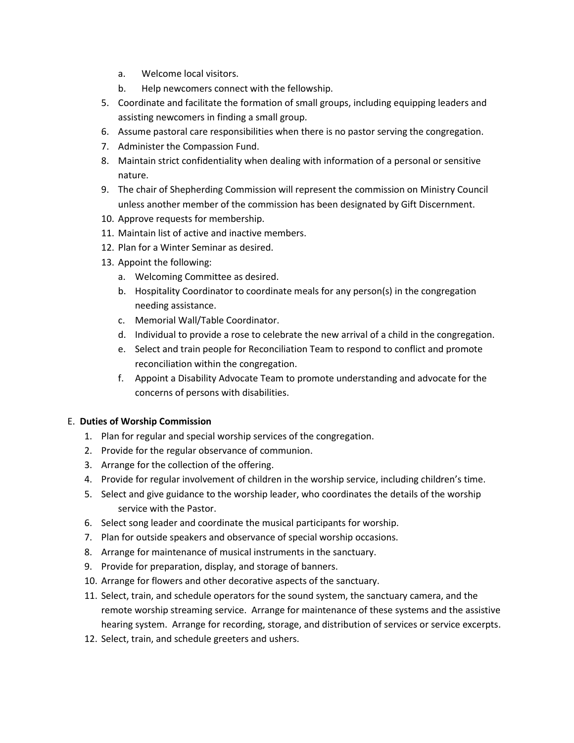- a. Welcome local visitors.
- b. Help newcomers connect with the fellowship.
- 5. Coordinate and facilitate the formation of small groups, including equipping leaders and assisting newcomers in finding a small group.
- 6. Assume pastoral care responsibilities when there is no pastor serving the congregation.
- 7. Administer the Compassion Fund.
- 8. Maintain strict confidentiality when dealing with information of a personal or sensitive nature.
- 9. The chair of Shepherding Commission will represent the commission on Ministry Council unless another member of the commission has been designated by Gift Discernment.
- 10. Approve requests for membership.
- 11. Maintain list of active and inactive members.
- 12. Plan for a Winter Seminar as desired.
- 13. Appoint the following:
	- a. Welcoming Committee as desired.
	- b. Hospitality Coordinator to coordinate meals for any person(s) in the congregation needing assistance.
	- c. Memorial Wall/Table Coordinator.
	- d. Individual to provide a rose to celebrate the new arrival of a child in the congregation.
	- e. Select and train people for Reconciliation Team to respond to conflict and promote reconciliation within the congregation.
	- f. Appoint a Disability Advocate Team to promote understanding and advocate for the concerns of persons with disabilities.

#### E. **Duties of Worship Commission**

- 1. Plan for regular and special worship services of the congregation.
- 2. Provide for the regular observance of communion.
- 3. Arrange for the collection of the offering.
- 4. Provide for regular involvement of children in the worship service, including children's time.
- 5. Select and give guidance to the worship leader, who coordinates the details of the worship service with the Pastor.
- 6. Select song leader and coordinate the musical participants for worship.
- 7. Plan for outside speakers and observance of special worship occasions.
- 8. Arrange for maintenance of musical instruments in the sanctuary.
- 9. Provide for preparation, display, and storage of banners.
- 10. Arrange for flowers and other decorative aspects of the sanctuary.
- 11. Select, train, and schedule operators for the sound system, the sanctuary camera, and the remote worship streaming service. Arrange for maintenance of these systems and the assistive hearing system. Arrange for recording, storage, and distribution of services or service excerpts.
- 12. Select, train, and schedule greeters and ushers.